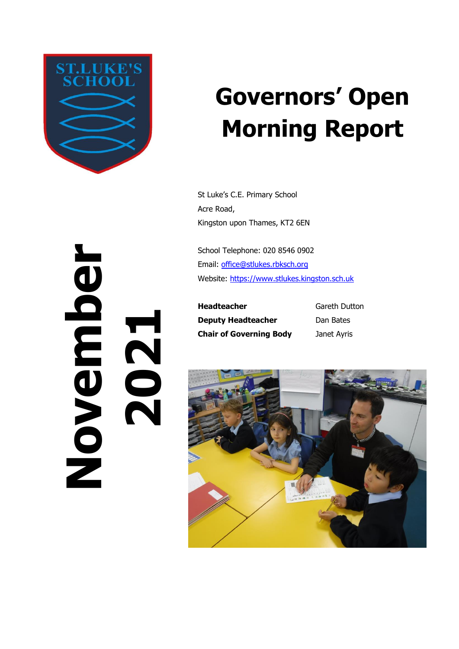

# **Governors' Open Morning Report**

St Luke's C.E. Primary School Acre Road, Kingston upon Thames, KT2 6EN

School Telephone: 020 8546 0902 Email: [office@stlukes.rbksch.org](mailto:office@stlukes.rbksch.org) Website: [https://www.stlukes.kingston.sch.uk](https://www.stlukes.kingston.sch.uk/)

**Headteacher Deputy Headteacher Chair of Governing Body**

Gareth Dutton Dan Bates Janet Ayris



**November 2021**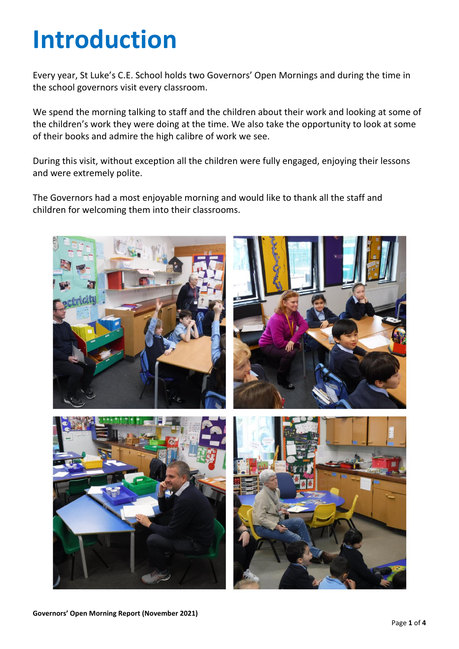# **Introduction**

Every year, St Luke's C.E. School holds two Governors' Open Mornings and during the time in the school governors visit every classroom.

We spend the morning talking to staff and the children about their work and looking at some of the children's work they were doing at the time. We also take the opportunity to look at some of their books and admire the high calibre of work we see.

During this visit, without exception all the children were fully engaged, enjoying their lessons and were extremely polite.

The Governors had a most enjoyable morning and would like to thank all the staff and children for welcoming them into their classrooms.

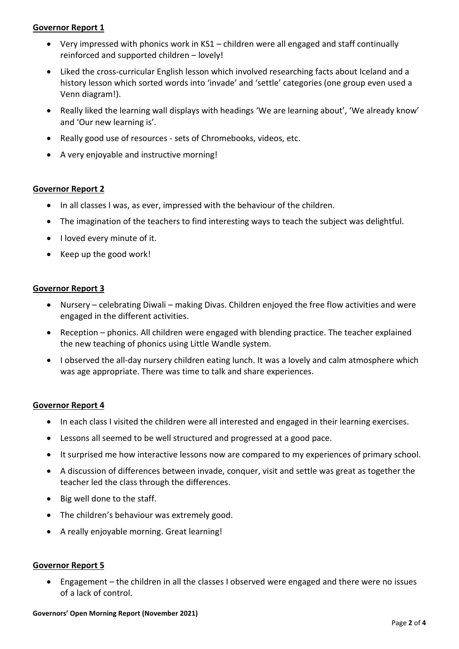## **Governor Report 1**

- Very impressed with phonics work in KS1 children were all engaged and staff continually reinforced and supported children – lovely!
- Liked the cross-curricular English lesson which involved researching facts about Iceland and a history lesson which sorted words into 'invade' and 'settle' categories (one group even used a Venn diagram!).
- Really liked the learning wall displays with headings 'We are learning about', 'We already know' and 'Our new learning is'.
- Really good use of resources sets of Chromebooks, videos, etc.
- A very enjoyable and instructive morning!

## **Governor Report 2**

- In all classes I was, as ever, impressed with the behaviour of the children.
- The imagination of the teachers to find interesting ways to teach the subject was delightful.
- I loved every minute of it.
- Keep up the good work!

#### **Governor Report 3**

- Nursery celebrating Diwali making Divas. Children enjoyed the free flow activities and were engaged in the different activities.
- Reception phonics. All children were engaged with blending practice. The teacher explained the new teaching of phonics using Little Wandle system.
- I observed the all-day nursery children eating lunch. It was a lovely and calm atmosphere which was age appropriate. There was time to talk and share experiences.

#### **Governor Report 4**

- In each class I visited the children were all interested and engaged in their learning exercises.
- Lessons all seemed to be well structured and progressed at a good pace.
- It surprised me how interactive lessons now are compared to my experiences of primary school.
- A discussion of differences between invade, conquer, visit and settle was great as together the teacher led the class through the differences.
- Big well done to the staff.
- The children's behaviour was extremely good.
- A really enjoyable morning. Great learning!

#### **Governor Report 5**

• Engagement – the children in all the classes I observed were engaged and there were no issues of a lack of control.